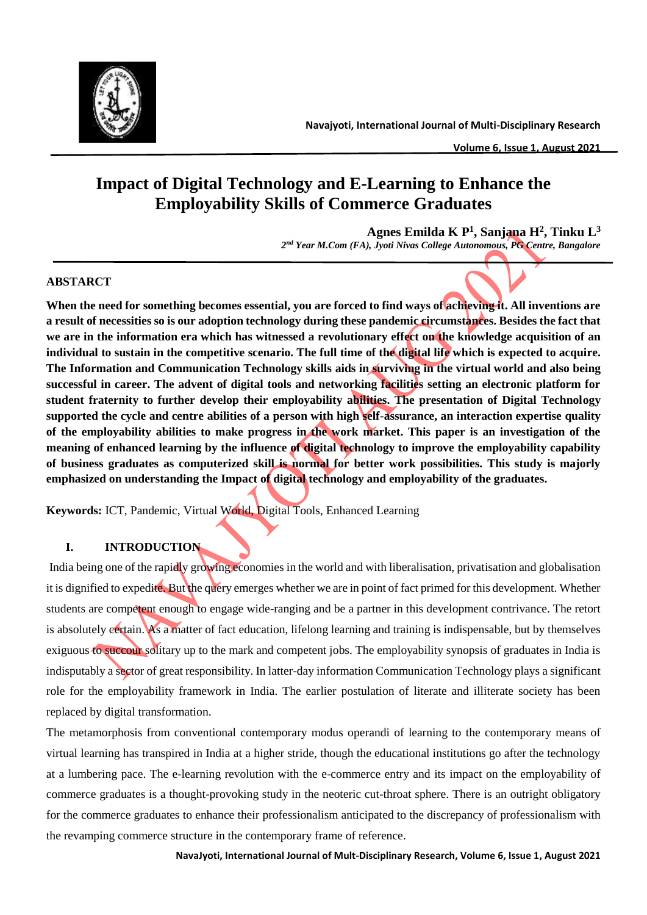

# **Impact of Digital Technology and E-Learning to Enhance the Employability Skills of Commerce Graduates**

**Agnes Emilda K P<sup>1</sup> , Sanjana H<sup>2</sup> , Tinku L<sup>3</sup>** *2 nd Year M.Com (FA), Jyoti Nivas College Autonomous, PG Centre, Bangalore*

# **ABSTARCT**

**When the need for something becomes essential, you are forced to find ways of achieving it. All inventions are a result of necessities so is our adoption technology during these pandemic circumstances. Besides the fact that we are in the information era which has witnessed a revolutionary effect on the knowledge acquisition of an individual to sustain in the competitive scenario. The full time of the digital life which is expected to acquire. The Information and Communication Technology skills aids in surviving in the virtual world and also being successful in career. The advent of digital tools and networking facilities setting an electronic platform for student fraternity to further develop their employability abilities. The presentation of Digital Technology supported the cycle and centre abilities of a person with high self-assurance, an interaction expertise quality of the employability abilities to make progress in the work market. This paper is an investigation of the meaning of enhanced learning by the influence of digital technology to improve the employability capability of business graduates as computerized skill is normal for better work possibilities. This study is majorly emphasized on understanding the Impact of digital technology and employability of the graduates.**

**Keywords:** ICT, Pandemic, Virtual World, Digital Tools, Enhanced Learning

# **I. INTRODUCTION**

India being one of the rapidly growing economies in the world and with liberalisation, privatisation and globalisation it is dignified to expedite. But the query emerges whether we are in point of fact primed for this development. Whether students are competent enough to engage wide-ranging and be a partner in this development contrivance. The retort is absolutely certain. As a matter of fact education, lifelong learning and training is indispensable, but by themselves exiguous to succour solitary up to the mark and competent jobs. The employability synopsis of graduates in India is indisputably a sector of great responsibility. In latter-day information Communication Technology plays a significant role for the employability framework in India. The earlier postulation of literate and illiterate society has been replaced by digital transformation.

The metamorphosis from conventional contemporary modus operandi of learning to the contemporary means of virtual learning has transpired in India at a higher stride, though the educational institutions go after the technology at a lumbering pace. The e-learning revolution with the e-commerce entry and its impact on the employability of commerce graduates is a thought-provoking study in the neoteric cut-throat sphere. There is an outright obligatory for the commerce graduates to enhance their professionalism anticipated to the discrepancy of professionalism with the revamping commerce structure in the contemporary frame of reference.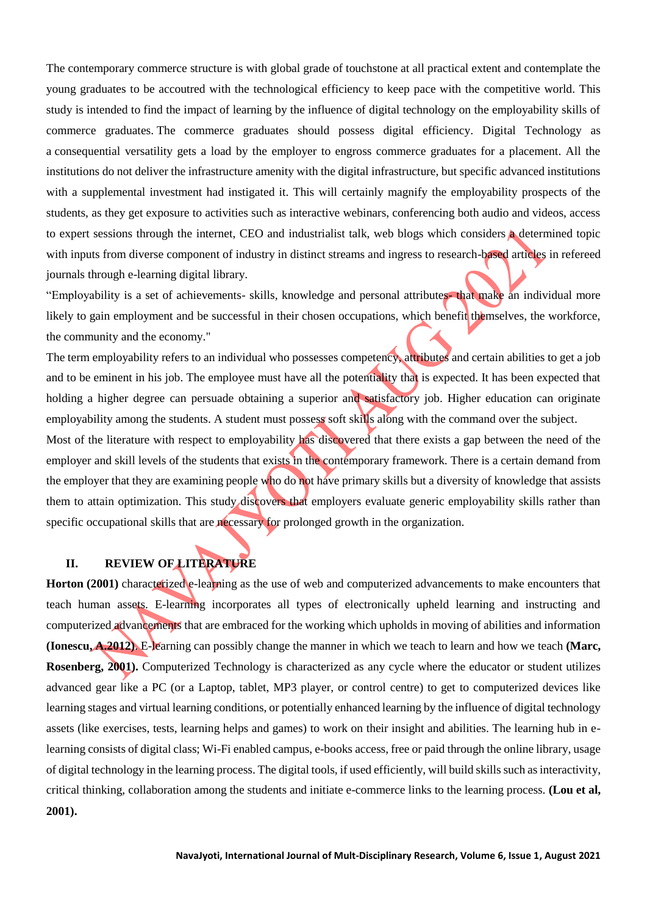The contemporary commerce structure is with global grade of touchstone at all practical extent and contemplate the young graduates to be accoutred with the technological efficiency to keep pace with the competitive world. This study is intended to find the impact of learning by the influence of digital technology on the employability skills of commerce graduates. The commerce graduates should possess digital efficiency. Digital Technology as a consequential versatility gets a load by the employer to engross commerce graduates for a placement. All the institutions do not deliver the infrastructure amenity with the digital infrastructure, but specific advanced institutions with a supplemental investment had instigated it. This will certainly magnify the employability prospects of the students, as they get exposure to activities such as interactive webinars, conferencing both audio and videos, access to expert sessions through the internet, CEO and industrialist talk, web blogs which considers a determined topic with inputs from diverse component of industry in distinct streams and ingress to research-based articles in refereed journals through e-learning digital library.

"Employability is a set of achievements- skills, knowledge and personal attributes- that make an individual more likely to gain employment and be successful in their chosen occupations, which benefit themselves, the workforce, the community and the economy."

The term employability refers to an individual who possesses competency, attributes and certain abilities to get a job and to be eminent in his job. The employee must have all the potentiality that is expected. It has been expected that holding a higher degree can persuade obtaining a superior and satisfactory job. Higher education can originate employability among the students. A student must possess soft skills along with the command over the subject.

Most of the literature with respect to employability has discovered that there exists a gap between the need of the employer and skill levels of the students that exists in the contemporary framework. There is a certain demand from the employer that they are examining people who do not have primary skills but a diversity of knowledge that assists them to attain optimization. This study discovers that employers evaluate generic employability skills rather than specific occupational skills that are necessary for prolonged growth in the organization.

# **II. REVIEW OF LITERATURE**

**Horton (2001)** characterized e-learning as the use of web and computerized advancements to make encounters that teach human assets. E-learning incorporates all types of electronically upheld learning and instructing and computerized advancements that are embraced for the working which upholds in moving of abilities and information **(Ionescu, A.2012)**. E-learning can possibly change the manner in which we teach to learn and how we teach **(Marc, Rosenberg, 2001).** Computerized Technology is characterized as any cycle where the educator or student utilizes advanced gear like a PC (or a Laptop, tablet, MP3 player, or control centre) to get to computerized devices like learning stages and virtual learning conditions, or potentially enhanced learning by the influence of digital technology assets (like exercises, tests, learning helps and games) to work on their insight and abilities. The learning hub in elearning consists of digital class; Wi-Fi enabled campus, e-books access, free or paid through the online library, usage of digital technology in the learning process. The digital tools, if used efficiently, will build skills such as interactivity, critical thinking, collaboration among the students and initiate e-commerce links to the learning process. **(Lou et al, 2001).**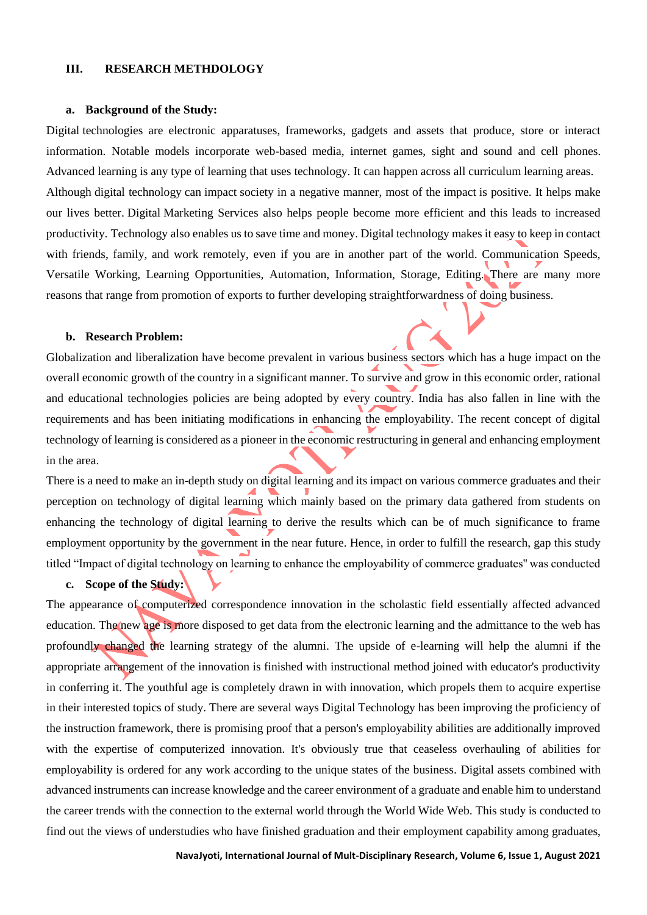# **III. RESEARCH METHDOLOGY**

#### **a. Background of the Study:**

Digital technologies are electronic apparatuses, frameworks, gadgets and assets that produce, store or interact information. Notable models incorporate web-based media, internet games, sight and sound and cell phones. Advanced learning is any type of learning that uses technology. It can happen across all curriculum learning areas. Although digital technology can impact society in a negative manner, most of the impact is positive. It helps make our lives better. Digital Marketing Services also helps people become more efficient and this leads to increased productivity. Technology also enables us to save time and money. Digital technology makes it easy to keep in contact with friends, family, and work remotely, even if you are in another part of the world. Communication Speeds, Versatile Working, Learning Opportunities, Automation, Information, Storage, Editing. There are many more reasons that range from promotion of exports to further developing straightforwardness of doing business.

#### **b. Research Problem:**

Globalization and liberalization have become prevalent in various business sectors which has a huge impact on the overall economic growth of the country in a significant manner. To survive and grow in this economic order, rational and educational technologies policies are being adopted by every country. India has also fallen in line with the requirements and has been initiating modifications in enhancing the employability. The recent concept of digital technology of learning is considered as a pioneer in the economic restructuring in general and enhancing employment in the area.

There is a need to make an in-depth study on digital learning and its impact on various commerce graduates and their perception on technology of digital learning which mainly based on the primary data gathered from students on enhancing the technology of digital learning to derive the results which can be of much significance to frame employment opportunity by the government in the near future. Hence, in order to fulfill the research, gap this study titled "Impact of digital technology on learning to enhance the employability of commerce graduates'' was conducted

# **c. Scope of the Study:**

The appearance of computerized correspondence innovation in the scholastic field essentially affected advanced education. The new age is more disposed to get data from the electronic learning and the admittance to the web has profoundly changed the learning strategy of the alumni. The upside of e-learning will help the alumni if the appropriate arrangement of the innovation is finished with instructional method joined with educator's productivity in conferring it. The youthful age is completely drawn in with innovation, which propels them to acquire expertise in their interested topics of study. There are several ways Digital Technology has been improving the proficiency of the instruction framework, there is promising proof that a person's employability abilities are additionally improved with the expertise of computerized innovation. It's obviously true that ceaseless overhauling of abilities for employability is ordered for any work according to the unique states of the business. Digital assets combined with advanced instruments can increase knowledge and the career environment of a graduate and enable him to understand the career trends with the connection to the external world through the World Wide Web. This study is conducted to find out the views of understudies who have finished graduation and their employment capability among graduates,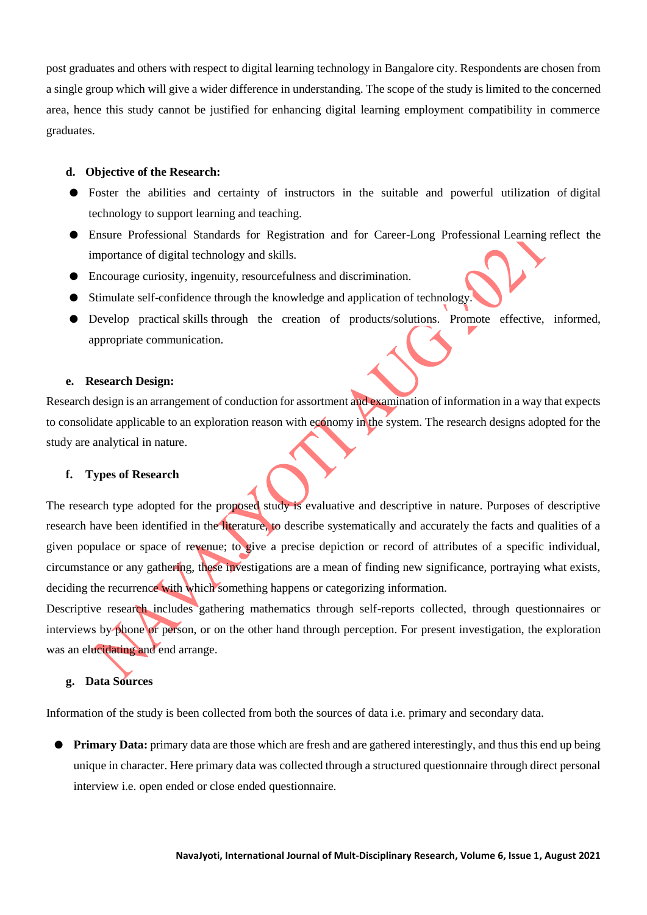post graduates and others with respect to digital learning technology in Bangalore city. Respondents are chosen from a single group which will give a wider difference in understanding. The scope of the study is limited to the concerned area, hence this study cannot be justified for enhancing digital learning employment compatibility in commerce graduates.

# **d. Objective of the Research:**

- Foster the abilities and certainty of instructors in the suitable and powerful utilization of digital technology to support learning and teaching.
- Ensure Professional Standards for Registration and for Career-Long Professional Learning reflect the importance of digital technology and skills.
- Encourage curiosity, ingenuity, resourcefulness and discrimination.
- Stimulate self-confidence through the knowledge and application of technology.
- Develop practical skills through the creation of products/solutions. Promote effective, informed, appropriate communication.

### **e. Research Design:**

Research design is an arrangement of conduction for assortment and examination of information in a way that expects to consolidate applicable to an exploration reason with economy in the system. The research designs adopted for the study are analytical in nature.

#### **f. Types of Research**

The research type adopted for the proposed study is evaluative and descriptive in nature. Purposes of descriptive research have been identified in the literature, to describe systematically and accurately the facts and qualities of a given populace or space of revenue; to give a precise depiction or record of attributes of a specific individual, circumstance or any gathering, these investigations are a mean of finding new significance, portraying what exists, deciding the recurrence with which something happens or categorizing information.

Descriptive research includes gathering mathematics through self-reports collected, through questionnaires or interviews by phone or person, or on the other hand through perception. For present investigation, the exploration was an elucidating and end arrange.

# **g. Data Sources**

Information of the study is been collected from both the sources of data i.e. primary and secondary data.

**• Primary Data:** primary data are those which are fresh and are gathered interestingly, and thus this end up being unique in character. Here primary data was collected through a structured questionnaire through direct personal interview i.e. open ended or close ended questionnaire.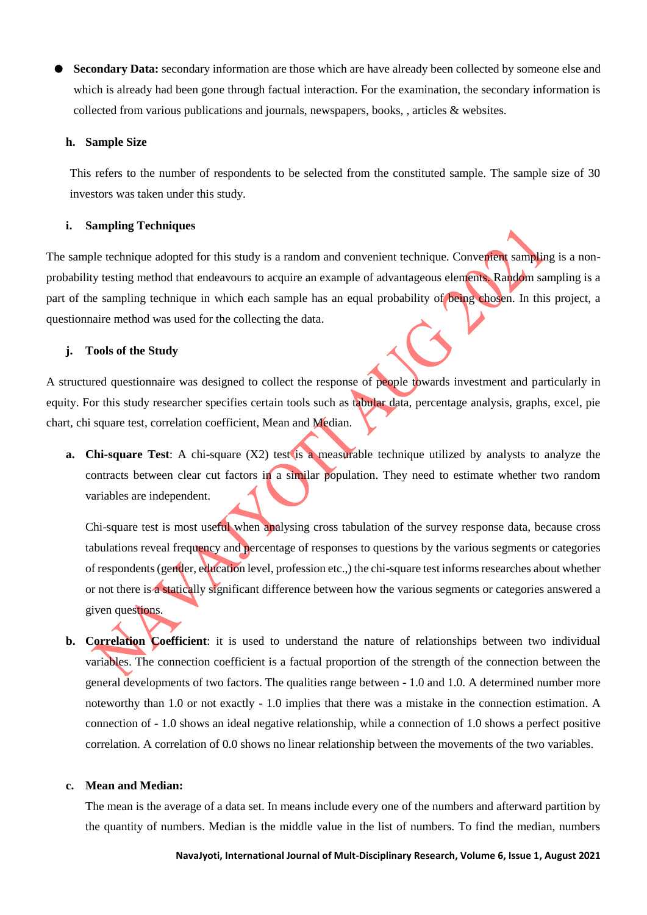**Secondary Data:** secondary information are those which are have already been collected by someone else and which is already had been gone through factual interaction. For the examination, the secondary information is collected from various publications and journals, newspapers, books, , articles & websites.

#### **h. Sample Size**

This refers to the number of respondents to be selected from the constituted sample. The sample size of 30 investors was taken under this study.

## **i. Sampling Techniques**

The sample technique adopted for this study is a random and convenient technique. Convenient sampling is a nonprobability testing method that endeavours to acquire an example of advantageous elements. Random sampling is a part of the sampling technique in which each sample has an equal probability of being chosen. In this project, a questionnaire method was used for the collecting the data.

# **j. Tools of the Study**

A structured questionnaire was designed to collect the response of people towards investment and particularly in equity. For this study researcher specifies certain tools such as tabular data, percentage analysis, graphs, excel, pie chart, chi square test, correlation coefficient, Mean and Median.

**a. Chi-square Test**: A chi-square (X2) test is a measurable technique utilized by analysts to analyze the contracts between clear cut factors in a similar population. They need to estimate whether two random variables are independent.

Chi-square test is most useful when analysing cross tabulation of the survey response data, because cross tabulations reveal frequency and percentage of responses to questions by the various segments or categories of respondents (gender, education level, profession etc.,) the chi-square test informs researches about whether or not there is a statically significant difference between how the various segments or categories answered a given questions.

**b. Correlation Coefficient**: it is used to understand the nature of relationships between two individual variables. The connection coefficient is a factual proportion of the strength of the connection between the general developments of two factors. The qualities range between - 1.0 and 1.0. A determined number more noteworthy than 1.0 or not exactly - 1.0 implies that there was a mistake in the connection estimation. A connection of - 1.0 shows an ideal negative relationship, while a connection of 1.0 shows a perfect positive correlation. A correlation of 0.0 shows no linear relationship between the movements of the two variables.

# **c. Mean and Median:**

The mean is the average of a data set. In means include every one of the numbers and afterward partition by the quantity of numbers. Median is the middle value in the list of numbers. To find the median, numbers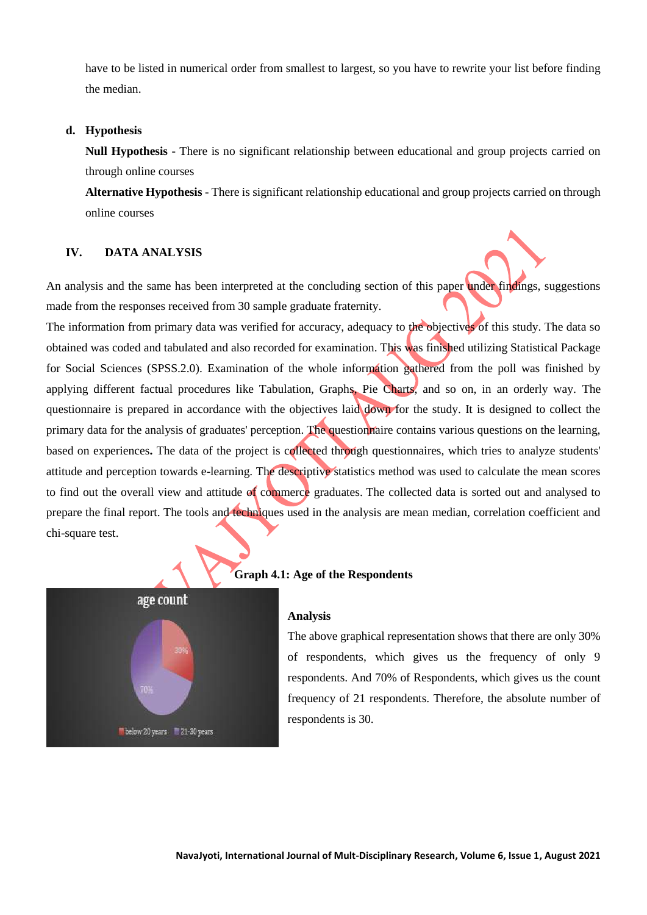have to be listed in numerical order from smallest to largest, so you have to rewrite your list before finding the median.

#### **d. Hypothesis**

**Null Hypothesis -** There is no significant relationship between educational and group projects carried on through online courses

**Alternative Hypothesis -** There is significant relationship educational and group projects carried on through online courses

### **IV. DATA ANALYSIS**

An analysis and the same has been interpreted at the concluding section of this paper under findings, suggestions made from the responses received from 30 sample graduate fraternity.

The information from primary data was verified for accuracy, adequacy to the objectives of this study. The data so obtained was coded and tabulated and also recorded for examination. This was finished utilizing Statistical Package for Social Sciences (SPSS.2.0). Examination of the whole information gathered from the poll was finished by applying different factual procedures like Tabulation, Graphs, Pie Charts, and so on, in an orderly way. The questionnaire is prepared in accordance with the objectives laid down for the study. It is designed to collect the primary data for the analysis of graduates' perception. The questionnaire contains various questions on the learning, based on experiences**.** The data of the project is collected through questionnaires, which tries to analyze students' attitude and perception towards e-learning. The descriptive statistics method was used to calculate the mean scores to find out the overall view and attitude of commerce graduates. The collected data is sorted out and analysed to prepare the final report. The tools and techniques used in the analysis are mean median, correlation coefficient and chi-square test.



# **Graph 4.1: Age of the Respondents**

#### **Analysis**

The above graphical representation shows that there are only 30% of respondents, which gives us the frequency of only 9 respondents. And 70% of Respondents, which gives us the count frequency of 21 respondents. Therefore, the absolute number of respondents is 30.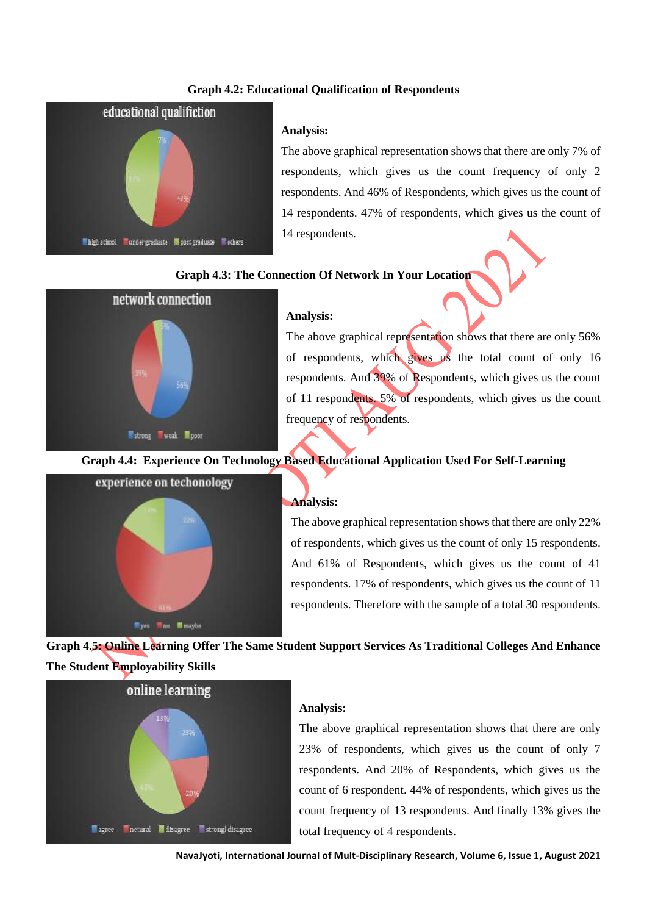# **Graph 4.2: Educational Qualification of Respondents**



#### **Analysis:**

The above graphical representation shows that there are only 7% of respondents, which gives us the count frequency of only 2 respondents. And 46% of Respondents, which gives us the count of 14 respondents. 47% of respondents, which gives us the count of 14 respondents.

#### **Graph 4.3: The Connection Of Network In Your Location**



#### **Analysis:**

The above graphical representation shows that there are only 56% of respondents, which gives us the total count of only 16 respondents. And 39% of Respondents, which gives us the count of 11 respondents. 5% of respondents, which gives us the count frequency of respondents.

# **Graph 4.4: Experience On Technology Based Educational Application Used For Self-Learning**



#### **Analysis:**

The above graphical representation shows that there are only 22% of respondents, which gives us the count of only 15 respondents. And 61% of Respondents, which gives us the count of 41 respondents. 17% of respondents, which gives us the count of 11 respondents. Therefore with the sample of a total 30 respondents.

**Graph 4.5: Online Learning Offer The Same Student Support Services As Traditional Colleges And Enhance The Student Employability Skills**



# **Analysis:**

The above graphical representation shows that there are only 23% of respondents, which gives us the count of only 7 respondents. And 20% of Respondents, which gives us the count of 6 respondent. 44% of respondents, which gives us the count frequency of 13 respondents. And finally 13% gives the total frequency of 4 respondents.

**NavaJyoti, International Journal of Mult-Disciplinary Research, Volume 6, Issue 1, August 2021**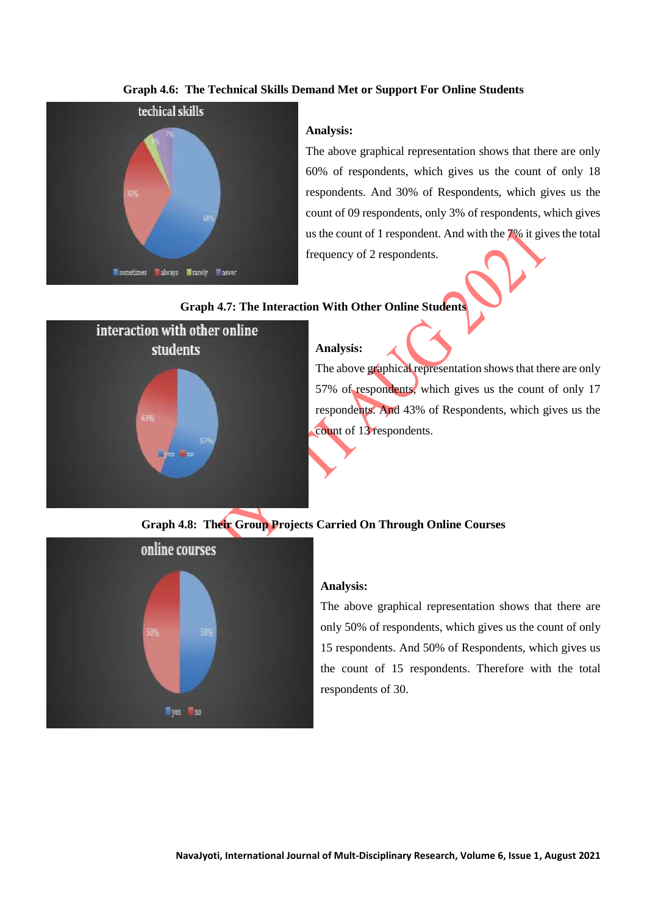# **Graph 4.6: The Technical Skills Demand Met or Support For Online Students**



## **Analysis:**

The above graphical representation shows that there are only 60% of respondents, which gives us the count of only 18 respondents. And 30% of Respondents, which gives us the count of 09 respondents, only 3% of respondents, which gives us the count of 1 respondent. And with the 7% it gives the total frequency of 2 respondents.

# **Graph 4.7: The Interaction With Other Online Students**



**Analysis:** The above graphical representation shows that there are only 57% of respondents, which gives us the count of only 17 respondents. And 43% of Respondents, which gives us the count of 13 respondents.

## **Graph 4.8: Their Group Projects Carried On Through Online Courses**



#### **Analysis:**

The above graphical representation shows that there are only 50% of respondents, which gives us the count of only 15 respondents. And 50% of Respondents, which gives us the count of 15 respondents. Therefore with the total respondents of 30.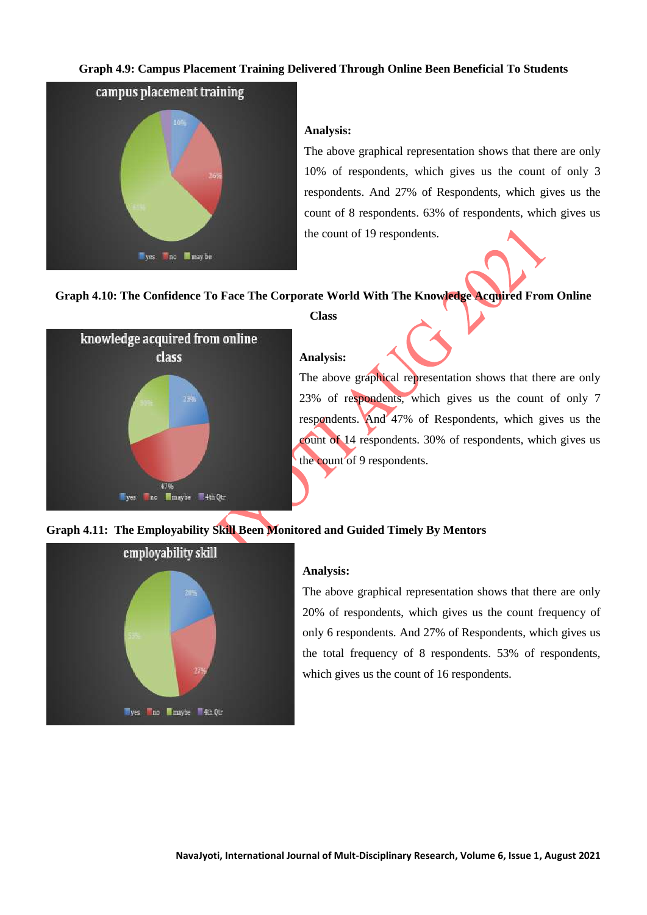# **Graph 4.9: Campus Placement Training Delivered Through Online Been Beneficial To Students**



# **Analysis:**

The above graphical representation shows that there are only 10% of respondents, which gives us the count of only 3 respondents. And 27% of Respondents, which gives us the count of 8 respondents. 63% of respondents, which gives us the count of 19 respondents.

# **Graph 4.10: The Confidence To Face The Corporate World With The Knowledge Acquired From Online**



#### **Class**

#### **Analysis:**

The above graphical representation shows that there are only 23% of respondents, which gives us the count of only 7 respondents. And 47% of Respondents, which gives us the count of 14 respondents. 30% of respondents, which gives us the count of 9 respondents.

# **Graph 4.11: The Employability Skill Been Monitored and Guided Timely By Mentors**



# **Analysis:**

The above graphical representation shows that there are only 20% of respondents, which gives us the count frequency of only 6 respondents. And 27% of Respondents, which gives us the total frequency of 8 respondents. 53% of respondents, which gives us the count of 16 respondents.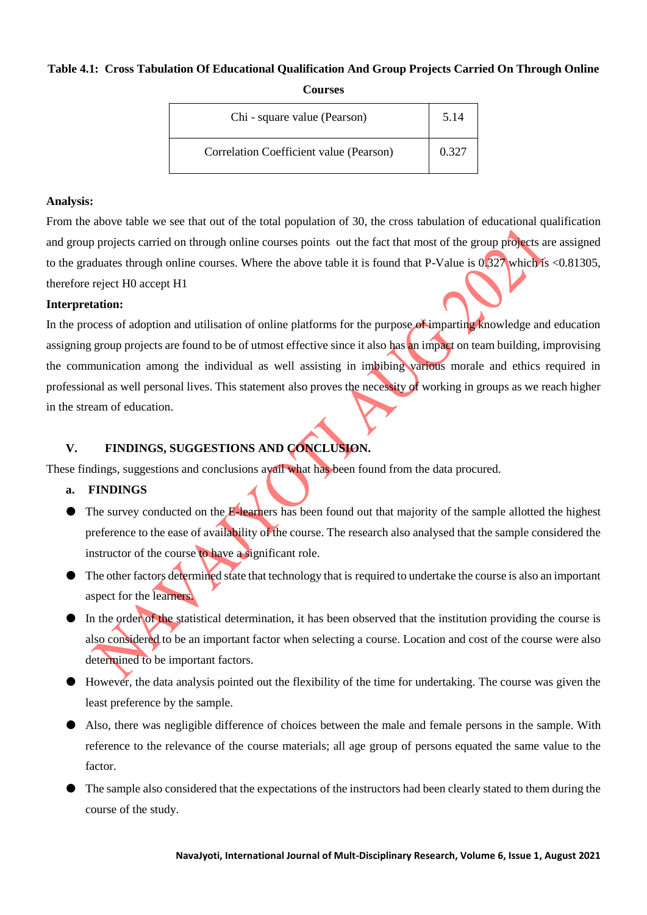# **Table 4.1: Cross Tabulation Of Educational Qualification And Group Projects Carried On Through Online Courses**

| Chi - square value (Pearson)            | 5.14  |
|-----------------------------------------|-------|
| Correlation Coefficient value (Pearson) | 0.327 |

## **Analysis:**

From the above table we see that out of the total population of 30, the cross tabulation of educational qualification and group projects carried on through online courses points out the fact that most of the group projects are assigned to the graduates through online courses. Where the above table it is found that P-Value is  $0.327$  which is <0.81305, therefore reject H0 accept H1

# **Interpretation:**

In the process of adoption and utilisation of online platforms for the purpose of imparting knowledge and education assigning group projects are found to be of utmost effective since it also has an impact on team building, improvising the communication among the individual as well assisting in imbibing various morale and ethics required in professional as well personal lives. This statement also proves the necessity of working in groups as we reach higher in the stream of education.

# **V. FINDINGS, SUGGESTIONS AND CONCLUSION.**

These findings, suggestions and conclusions avail what has been found from the data procured.

#### **a. FINDINGS**

- The survey conducted on the E-learners has been found out that majority of the sample allotted the highest preference to the ease of availability of the course. The research also analysed that the sample considered the instructor of the course to have a significant role.
- The other factors determined state that technology that is required to undertake the course is also an important aspect for the learners.
- In the order of the statistical determination, it has been observed that the institution providing the course is also considered to be an important factor when selecting a course. Location and cost of the course were also determined to be important factors.
- However, the data analysis pointed out the flexibility of the time for undertaking. The course was given the least preference by the sample.
- Also, there was negligible difference of choices between the male and female persons in the sample. With reference to the relevance of the course materials; all age group of persons equated the same value to the factor.
- The sample also considered that the expectations of the instructors had been clearly stated to them during the course of the study.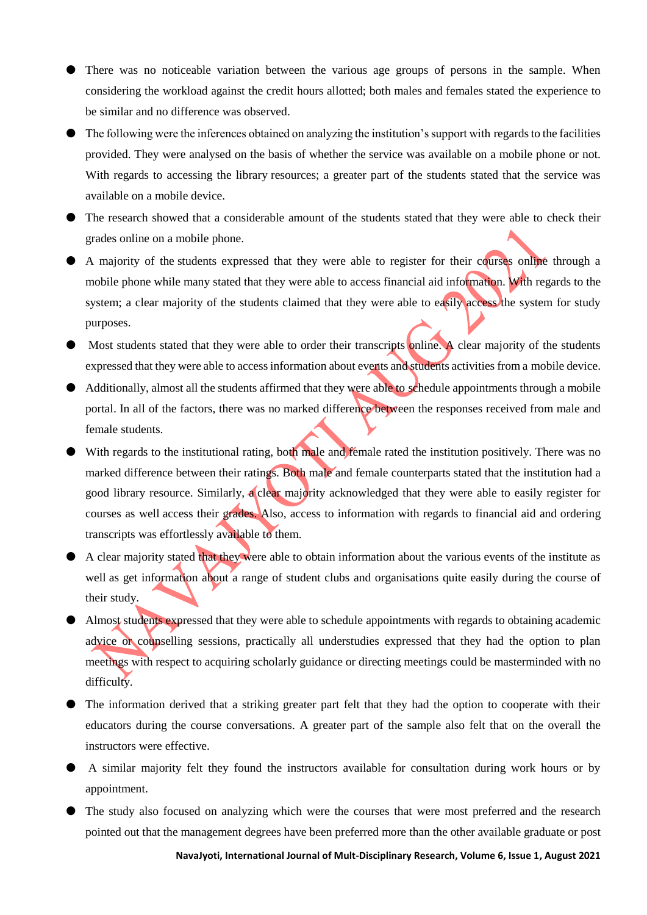- There was no noticeable variation between the various age groups of persons in the sample. When considering the workload against the credit hours allotted; both males and females stated the experience to be similar and no difference was observed.
- The following were the inferences obtained on analyzing the institution's support with regards to the facilities provided. They were analysed on the basis of whether the service was available on a mobile phone or not. With regards to accessing the library resources; a greater part of the students stated that the service was available on a mobile device.
- The research showed that a considerable amount of the students stated that they were able to check their grades online on a mobile phone.
- A majority of the students expressed that they were able to register for their courses online through a mobile phone while many stated that they were able to access financial aid information. With regards to the system; a clear majority of the students claimed that they were able to easily access the system for study purposes.
- Most students stated that they were able to order their transcripts online. A clear majority of the students expressed that they were able to access information about events and students activities from a mobile device.
- Additionally, almost all the students affirmed that they were able to schedule appointments through a mobile portal. In all of the factors, there was no marked difference between the responses received from male and female students.
- If With regards to the institutional rating, both male and female rated the institution positively. There was no marked difference between their ratings. Both male and female counterparts stated that the institution had a good library resource. Similarly, a clear majority acknowledged that they were able to easily register for courses as well access their grades. Also, access to information with regards to financial aid and ordering transcripts was effortlessly available to them.
- A clear majority stated that they were able to obtain information about the various events of the institute as well as get information about a range of student clubs and organisations quite easily during the course of their study.
- **Almost students expressed that they were able to schedule appointments with regards to obtaining academic** advice or counselling sessions, practically all understudies expressed that they had the option to plan meetings with respect to acquiring scholarly guidance or directing meetings could be masterminded with no difficulty.
- The information derived that a striking greater part felt that they had the option to cooperate with their educators during the course conversations. A greater part of the sample also felt that on the overall the instructors were effective.
- A similar majority felt they found the instructors available for consultation during work hours or by appointment.
- If the study also focused on analyzing which were the courses that were most preferred and the research pointed out that the management degrees have been preferred more than the other available graduate or post